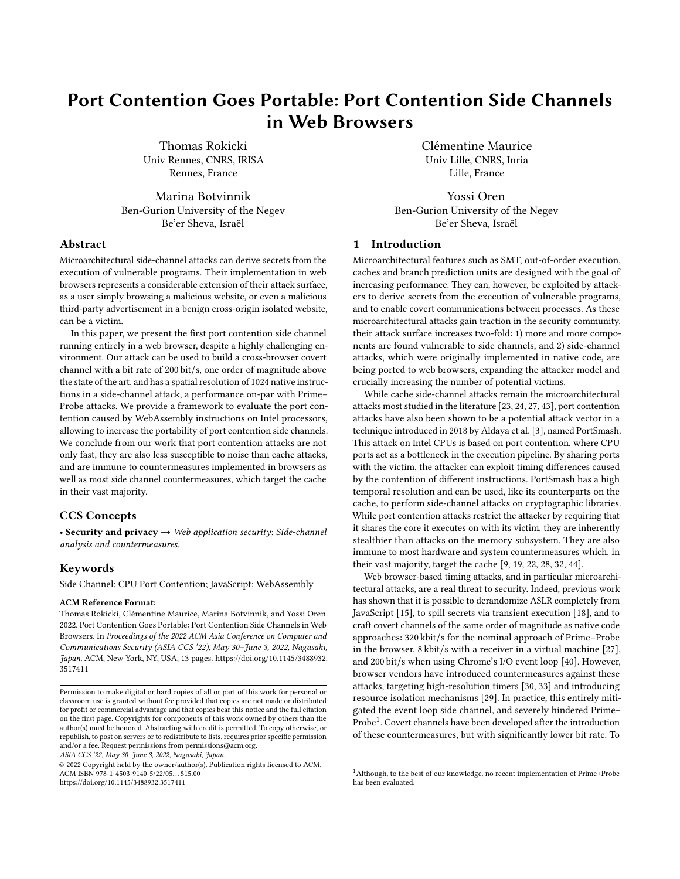# Port Contention Goes Portable: Port Contention Side Channels in Web Browsers

Thomas Rokicki Univ Rennes, CNRS, IRISA Rennes, France

Marina Botvinnik Ben-Gurion University of the Negev Be'er Sheva, Israël

# Abstract

Microarchitectural side-channel attacks can derive secrets from the execution of vulnerable programs. Their implementation in web browsers represents a considerable extension of their attack surface, as a user simply browsing a malicious website, or even a malicious third-party advertisement in a benign cross-origin isolated website, can be a victim.

In this paper, we present the first port contention side channel running entirely in a web browser, despite a highly challenging environment. Our attack can be used to build a cross-browser covert channel with a bit rate of 200 bit/s, one order of magnitude above the state of the art, and has a spatial resolution of 1024 native instructions in a side-channel attack, a performance on-par with Prime+ Probe attacks. We provide a framework to evaluate the port contention caused by WebAssembly instructions on Intel processors, allowing to increase the portability of port contention side channels. We conclude from our work that port contention attacks are not only fast, they are also less susceptible to noise than cache attacks, and are immune to countermeasures implemented in browsers as well as most side channel countermeasures, which target the cache in their vast majority.

#### CCS Concepts

• Security and privacy  $\rightarrow$  Web application security; Side-channel analysis and countermeasures.

#### Keywords

Side Channel; CPU Port Contention; JavaScript; WebAssembly

#### ACM Reference Format:

Thomas Rokicki, Clémentine Maurice, Marina Botvinnik, and Yossi Oren. 2022. Port Contention Goes Portable: Port Contention Side Channels in Web Browsers. In Proceedings of the 2022 ACM Asia Conference on Computer and Communications Security (ASIA CCS '22), May 30–June 3, 2022, Nagasaki, Japan. ACM, New York, NY, USA, [13](#page-12-0) pages. [https://doi.org/10.1145/3488932.](https://doi.org/10.1145/3488932.3517411) [3517411](https://doi.org/10.1145/3488932.3517411)

ASIA CCS '22, May 30–June 3, 2022, Nagasaki, Japan.

© 2022 Copyright held by the owner/author(s). Publication rights licensed to ACM. ACM ISBN 978-1-4503-9140-5/22/05. . . \$15.00 <https://doi.org/10.1145/3488932.3517411>

Clémentine Maurice Univ Lille, CNRS, Inria Lille, France

Yossi Oren Ben-Gurion University of the Negev Be'er Sheva, Israël

## 1 Introduction

Microarchitectural features such as SMT, out-of-order execution, caches and branch prediction units are designed with the goal of increasing performance. They can, however, be exploited by attackers to derive secrets from the execution of vulnerable programs, and to enable covert communications between processes. As these microarchitectural attacks gain traction in the security community, their attack surface increases two-fold: 1) more and more components are found vulnerable to side channels, and 2) side-channel attacks, which were originally implemented in native code, are being ported to web browsers, expanding the attacker model and crucially increasing the number of potential victims.

While cache side-channel attacks remain the microarchitectural attacks most studied in the literature [\[23,](#page-11-0) [24,](#page-11-1) [27,](#page-11-2) [43\]](#page-12-1), port contention attacks have also been shown to be a potential attack vector in a technique introduced in 2018 by Aldaya et al. [\[3\]](#page-11-3), named PortSmash. This attack on Intel CPUs is based on port contention, where CPU ports act as a bottleneck in the execution pipeline. By sharing ports with the victim, the attacker can exploit timing differences caused by the contention of different instructions. PortSmash has a high temporal resolution and can be used, like its counterparts on the cache, to perform side-channel attacks on cryptographic libraries. While port contention attacks restrict the attacker by requiring that it shares the core it executes on with its victim, they are inherently stealthier than attacks on the memory subsystem. They are also immune to most hardware and system countermeasures which, in their vast majority, target the cache [\[9,](#page-11-4) [19,](#page-11-5) [22,](#page-11-6) [28,](#page-11-7) [32,](#page-11-8) [44\]](#page-12-2).

Web browser-based timing attacks, and in particular microarchitectural attacks, are a real threat to security. Indeed, previous work has shown that it is possible to derandomize ASLR completely from JavaScript [\[15\]](#page-11-9), to spill secrets via transient execution [\[18\]](#page-11-10), and to craft covert channels of the same order of magnitude as native code approaches: 320 kbit/s for the nominal approach of Prime+Probe in the browser, 8 kbit/s with a receiver in a virtual machine [\[27\]](#page-11-2), and 200 bit/s when using Chrome's I/O event loop [\[40\]](#page-12-3). However, browser vendors have introduced countermeasures against these attacks, targeting high-resolution timers [\[30,](#page-11-11) [33\]](#page-11-12) and introducing resource isolation mechanisms [\[29\]](#page-11-13). In practice, this entirely mitigated the event loop side channel, and severely hindered Prime+  $\mathrm{Probe}^1.$  $\mathrm{Probe}^1.$  $\mathrm{Probe}^1.$  Covert channels have been developed after the introduction of these countermeasures, but with significantly lower bit rate. To

Permission to make digital or hard copies of all or part of this work for personal or classroom use is granted without fee provided that copies are not made or distributed for profit or commercial advantage and that copies bear this notice and the full citation on the first page. Copyrights for components of this work owned by others than the author(s) must be honored. Abstracting with credit is permitted. To copy otherwise, or republish, to post on servers or to redistribute to lists, requires prior specific permission and/or a fee. Request permissions from permissions@acm.org.

<span id="page-0-0"></span> $^{\rm 1}$  Although, to the best of our knowledge, no recent implementation of Prime+Probe has been evaluated.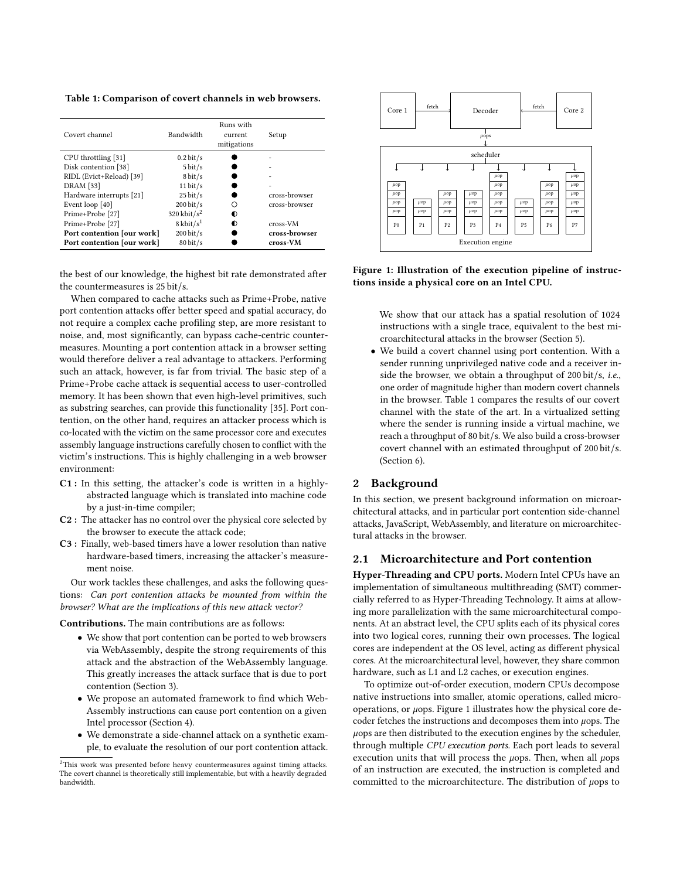<span id="page-1-1"></span>Table 1: Comparison of covert channels in web browsers.

| Covert channel             | Bandwidth            | Runs with<br>current<br>mitigations | Setup          |
|----------------------------|----------------------|-------------------------------------|----------------|
| CPU throttling [31]        | $0.2 \text{ bit/s}$  |                                     |                |
| Disk contention [38]       | $5 \text{ bit/s}$    |                                     |                |
| RIDL (Evict+Reload) [39]   | $8 \text{ bit/s}$    |                                     |                |
| <b>DRAM</b> [33]           | $11 \text{ bit/s}$   |                                     | $\overline{a}$ |
| Hardware interrupts [21]   | $25 \text{ bit/s}$   |                                     | cross-browser  |
| Event loop [40]            | $200 \frac{bit}{s}$  |                                     | cross-browser  |
| Prime+Probe [27]           | 320 kbit/ $s^2$      | $\bullet$                           |                |
| Prime+Probe [27]           | $8 \text{ kbit/s}^1$ |                                     | cross-VM       |
| Port contention [our work] | $200 \frac{bit}{s}$  |                                     | cross-browser  |
| Port contention [our work] | $80 \frac{bit}{s}$   |                                     | cross-VM       |

the best of our knowledge, the highest bit rate demonstrated after the countermeasures is 25 bit/s.

When compared to cache attacks such as Prime+Probe, native port contention attacks offer better speed and spatial accuracy, do not require a complex cache profiling step, are more resistant to noise, and, most significantly, can bypass cache-centric countermeasures. Mounting a port contention attack in a browser setting would therefore deliver a real advantage to attackers. Performing such an attack, however, is far from trivial. The basic step of a Prime+Probe cache attack is sequential access to user-controlled memory. It has been shown that even high-level primitives, such as substring searches, can provide this functionality [\[35\]](#page-12-6). Port contention, on the other hand, requires an attacker process which is co-located with the victim on the same processor core and executes assembly language instructions carefully chosen to conflict with the victim's instructions. This is highly challenging in a web browser environment:

- C1 : In this setting, the attacker's code is written in a highlyabstracted language which is translated into machine code by a just-in-time compiler;
- C2 : The attacker has no control over the physical core selected by the browser to execute the attack code;
- C3 : Finally, web-based timers have a lower resolution than native hardware-based timers, increasing the attacker's measurement noise.

Our work tackles these challenges, and asks the following questions: Can port contention attacks be mounted from within the browser? What are the implications of this new attack vector?

Contributions. The main contributions are as follows:

- We show that port contention can be ported to web browsers via WebAssembly, despite the strong requirements of this attack and the abstraction of the WebAssembly language. This greatly increases the attack surface that is due to port contention (Section [3\)](#page-3-0).
- We propose an automated framework to find which Web-Assembly instructions can cause port contention on a given Intel processor (Section [4\)](#page-4-0).
- We demonstrate a side-channel attack on a synthetic example, to evaluate the resolution of our port contention attack.

<span id="page-1-2"></span>

Figure 1: Illustration of the execution pipeline of instructions inside a physical core on an Intel CPU.

We show that our attack has a spatial resolution of 1024 instructions with a single trace, equivalent to the best microarchitectural attacks in the browser (Section [5\)](#page-6-0).

• We build a covert channel using port contention. With a sender running unprivileged native code and a receiver inside the browser, we obtain a throughput of 200 bit/s, *i.e.*, one order of magnitude higher than modern covert channels in the browser. Table [1](#page-1-1) compares the results of our covert channel with the state of the art. In a virtualized setting where the sender is running inside a virtual machine, we reach a throughput of 80 bit/s. We also build a cross-browser covert channel with an estimated throughput of 200 bit/s. (Section [6\)](#page-7-0).

#### <span id="page-1-3"></span>2 Background

In this section, we present background information on microarchitectural attacks, and in particular port contention side-channel attacks, JavaScript, WebAssembly, and literature on microarchitectural attacks in the browser.

#### 2.1 Microarchitecture and Port contention

Hyper-Threading and CPU ports. Modern Intel CPUs have an implementation of simultaneous multithreading (SMT) commercially referred to as Hyper-Threading Technology. It aims at allowing more parallelization with the same microarchitectural components. At an abstract level, the CPU splits each of its physical cores into two logical cores, running their own processes. The logical cores are independent at the OS level, acting as different physical cores. At the microarchitectural level, however, they share common hardware, such as L1 and L2 caches, or execution engines.

To optimize out-of-order execution, modern CPUs decompose native instructions into smaller, atomic operations, called microoperations, or  $\mu$ ops. Figure [1](#page-1-2) illustrates how the physical core decoder fetches the instructions and decomposes them into  $\mu$ ops. The  $\mu$ ops are then distributed to the execution engines by the scheduler, through multiple CPU execution ports. Each port leads to several execution units that will process the  $\mu$ ops. Then, when all  $\mu$ ops of an instruction are executed, the instruction is completed and committed to the microarchitecture. The distribution of  $\mu$ ops to

<span id="page-1-0"></span><sup>&</sup>lt;sup>2</sup>This work was presented before heavy countermeasures against timing attacks. The covert channel is theoretically still implementable, but with a heavily degraded bandwidth.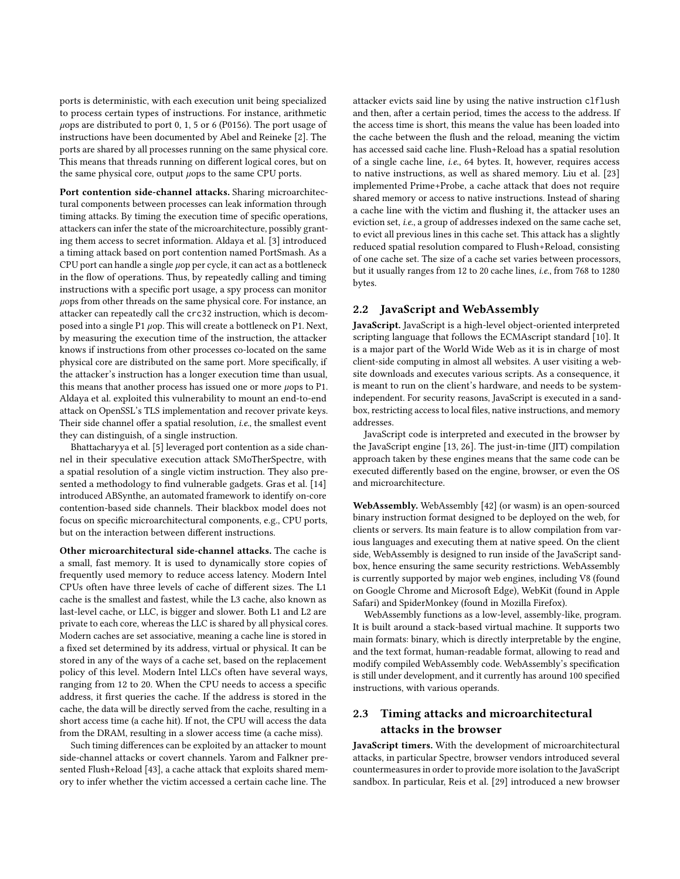ports is deterministic, with each execution unit being specialized to process certain types of instructions. For instance, arithmetic  $\mu$ ops are distributed to port 0, 1, 5 or 6 (P0156). The port usage of instructions have been documented by Abel and Reineke [\[2\]](#page-11-16). The ports are shared by all processes running on the same physical core. This means that threads running on different logical cores, but on the same physical core, output  $\mu$ ops to the same CPU ports.

Port contention side-channel attacks. Sharing microarchitectural components between processes can leak information through timing attacks. By timing the execution time of specific operations, attackers can infer the state of the microarchitecture, possibly granting them access to secret information. Aldaya et al. [\[3\]](#page-11-3) introduced a timing attack based on port contention named PortSmash. As a CPU port can handle a single  $\mu$ op per cycle, it can act as a bottleneck in the flow of operations. Thus, by repeatedly calling and timing instructions with a specific port usage, a spy process can monitor  $\mu$ ops from other threads on the same physical core. For instance, an attacker can repeatedly call the crc32 instruction, which is decomposed into a single P1  $\mu$ op. This will create a bottleneck on P1. Next, by measuring the execution time of the instruction, the attacker knows if instructions from other processes co-located on the same physical core are distributed on the same port. More specifically, if the attacker's instruction has a longer execution time than usual, this means that another process has issued one or more  $\mu$ ops to P1. Aldaya et al. exploited this vulnerability to mount an end-to-end attack on OpenSSL's TLS implementation and recover private keys. Their side channel offer a spatial resolution, i.e., the smallest event they can distinguish, of a single instruction.

Bhattacharyya et al. [\[5\]](#page-11-17) leveraged port contention as a side channel in their speculative execution attack SMoTherSpectre, with a spatial resolution of a single victim instruction. They also presented a methodology to find vulnerable gadgets. Gras et al. [\[14\]](#page-11-18) introduced ABSynthe, an automated framework to identify on-core contention-based side channels. Their blackbox model does not focus on specific microarchitectural components, e.g., CPU ports, but on the interaction between different instructions.

Other microarchitectural side-channel attacks. The cache is a small, fast memory. It is used to dynamically store copies of frequently used memory to reduce access latency. Modern Intel CPUs often have three levels of cache of different sizes. The L1 cache is the smallest and fastest, while the L3 cache, also known as last-level cache, or LLC, is bigger and slower. Both L1 and L2 are private to each core, whereas the LLC is shared by all physical cores. Modern caches are set associative, meaning a cache line is stored in a fixed set determined by its address, virtual or physical. It can be stored in any of the ways of a cache set, based on the replacement policy of this level. Modern Intel LLCs often have several ways, ranging from 12 to 20. When the CPU needs to access a specific address, it first queries the cache. If the address is stored in the cache, the data will be directly served from the cache, resulting in a short access time (a cache hit). If not, the CPU will access the data from the DRAM, resulting in a slower access time (a cache miss).

Such timing differences can be exploited by an attacker to mount side-channel attacks or covert channels. Yarom and Falkner presented Flush+Reload [\[43\]](#page-12-1), a cache attack that exploits shared memory to infer whether the victim accessed a certain cache line. The

attacker evicts said line by using the native instruction clflush and then, after a certain period, times the access to the address. If the access time is short, this means the value has been loaded into the cache between the flush and the reload, meaning the victim has accessed said cache line. Flush+Reload has a spatial resolution of a single cache line, i.e., 64 bytes. It, however, requires access to native instructions, as well as shared memory. Liu et al. [\[23\]](#page-11-0) implemented Prime+Probe, a cache attack that does not require shared memory or access to native instructions. Instead of sharing a cache line with the victim and flushing it, the attacker uses an eviction set, i.e., a group of addresses indexed on the same cache set, to evict all previous lines in this cache set. This attack has a slightly reduced spatial resolution compared to Flush+Reload, consisting of one cache set. The size of a cache set varies between processors, but it usually ranges from 12 to 20 cache lines, i.e., from 768 to 1280 bytes.

#### 2.2 JavaScript and WebAssembly

JavaScript. JavaScript is a high-level object-oriented interpreted scripting language that follows the ECMAscript standard [\[10\]](#page-11-19). It is a major part of the World Wide Web as it is in charge of most client-side computing in almost all websites. A user visiting a website downloads and executes various scripts. As a consequence, it is meant to run on the client's hardware, and needs to be systemindependent. For security reasons, JavaScript is executed in a sandbox, restricting access to local files, native instructions, and memory addresses.

JavaScript code is interpreted and executed in the browser by the JavaScript engine [\[13,](#page-11-20) [26\]](#page-11-21). The just-in-time (JIT) compilation approach taken by these engines means that the same code can be executed differently based on the engine, browser, or even the OS and microarchitecture.

WebAssembly. WebAssembly [\[42\]](#page-12-7) (or wasm) is an open-sourced binary instruction format designed to be deployed on the web, for clients or servers. Its main feature is to allow compilation from various languages and executing them at native speed. On the client side, WebAssembly is designed to run inside of the JavaScript sandbox, hence ensuring the same security restrictions. WebAssembly is currently supported by major web engines, including V8 (found on Google Chrome and Microsoft Edge), WebKit (found in Apple Safari) and SpiderMonkey (found in Mozilla Firefox).

WebAssembly functions as a low-level, assembly-like, program. It is built around a stack-based virtual machine. It supports two main formats: binary, which is directly interpretable by the engine, and the text format, human-readable format, allowing to read and modify compiled WebAssembly code. WebAssembly's specification is still under development, and it currently has around 100 specified instructions, with various operands.

# 2.3 Timing attacks and microarchitectural attacks in the browser

JavaScript timers. With the development of microarchitectural attacks, in particular Spectre, browser vendors introduced several countermeasures in order to provide more isolation to the JavaScript sandbox. In particular, Reis et al. [\[29\]](#page-11-13) introduced a new browser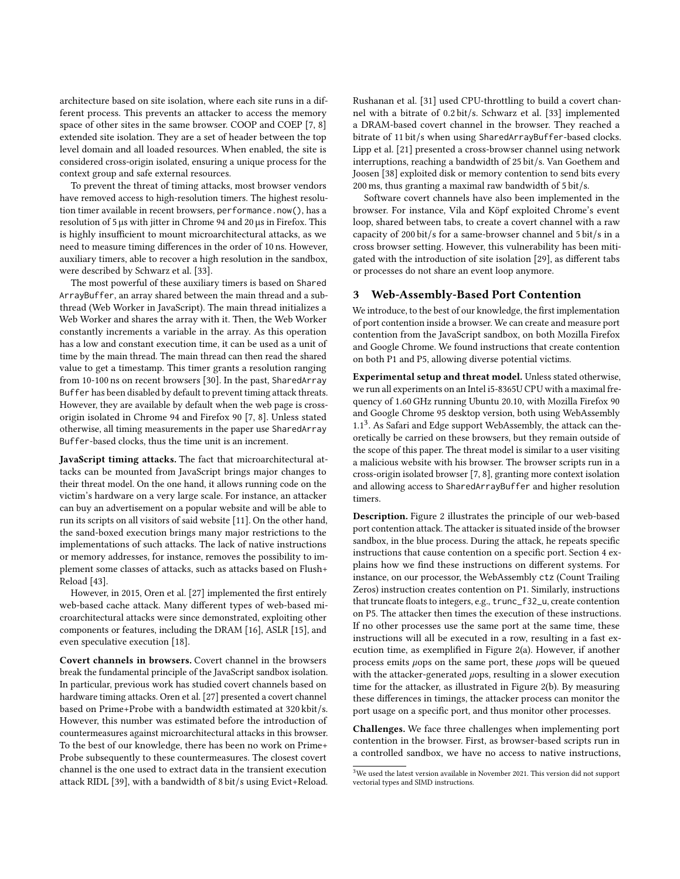architecture based on site isolation, where each site runs in a different process. This prevents an attacker to access the memory space of other sites in the same browser. COOP and COEP [\[7,](#page-11-22) [8\]](#page-11-23) extended site isolation. They are a set of header between the top level domain and all loaded resources. When enabled, the site is considered cross-origin isolated, ensuring a unique process for the context group and safe external resources.

To prevent the threat of timing attacks, most browser vendors have removed access to high-resolution timers. The highest resolution timer available in recent browsers, performance.now(), has a resolution of 5 µs with jitter in Chrome 94 and 20 µs in Firefox. This is highly insufficient to mount microarchitectural attacks, as we need to measure timing differences in the order of 10 ns. However, auxiliary timers, able to recover a high resolution in the sandbox, were described by Schwarz et al. [\[33\]](#page-11-12).

The most powerful of these auxiliary timers is based on Shared ArrayBuffer, an array shared between the main thread and a subthread (Web Worker in JavaScript). The main thread initializes a Web Worker and shares the array with it. Then, the Web Worker constantly increments a variable in the array. As this operation has a low and constant execution time, it can be used as a unit of time by the main thread. The main thread can then read the shared value to get a timestamp. This timer grants a resolution ranging from 10-100 ns on recent browsers [\[30\]](#page-11-11). In the past, SharedArray Buffer has been disabled by default to prevent timing attack threats. However, they are available by default when the web page is crossorigin isolated in Chrome 94 and Firefox 90 [\[7,](#page-11-22) [8\]](#page-11-23). Unless stated otherwise, all timing measurements in the paper use SharedArray Buffer-based clocks, thus the time unit is an increment.

JavaScript timing attacks. The fact that microarchitectural attacks can be mounted from JavaScript brings major changes to their threat model. On the one hand, it allows running code on the victim's hardware on a very large scale. For instance, an attacker can buy an advertisement on a popular website and will be able to run its scripts on all visitors of said website [\[11\]](#page-11-24). On the other hand, the sand-boxed execution brings many major restrictions to the implementations of such attacks. The lack of native instructions or memory addresses, for instance, removes the possibility to implement some classes of attacks, such as attacks based on Flush+ Reload [\[43\]](#page-12-1).

However, in 2015, Oren et al. [\[27\]](#page-11-2) implemented the first entirely web-based cache attack. Many different types of web-based microarchitectural attacks were since demonstrated, exploiting other components or features, including the DRAM [\[16\]](#page-11-25), ASLR [\[15\]](#page-11-9), and even speculative execution [\[18\]](#page-11-10).

Covert channels in browsers. Covert channel in the browsers break the fundamental principle of the JavaScript sandbox isolation. In particular, previous work has studied covert channels based on hardware timing attacks. Oren et al. [\[27\]](#page-11-2) presented a covert channel based on Prime+Probe with a bandwidth estimated at 320 kbit/s. However, this number was estimated before the introduction of countermeasures against microarchitectural attacks in this browser. To the best of our knowledge, there has been no work on Prime+ Probe subsequently to these countermeasures. The closest covert channel is the one used to extract data in the transient execution attack RIDL [\[39\]](#page-12-5), with a bandwidth of 8 bit/s using Evict+Reload.

Rushanan et al. [\[31\]](#page-11-14) used CPU-throttling to build a covert channel with a bitrate of 0.2 bit/s. Schwarz et al. [\[33\]](#page-11-12) implemented a DRAM-based covert channel in the browser. They reached a bitrate of 11 bit/s when using SharedArrayBuffer-based clocks. Lipp et al. [\[21\]](#page-11-15) presented a cross-browser channel using network interruptions, reaching a bandwidth of 25 bit/s. Van Goethem and Joosen [\[38\]](#page-12-4) exploited disk or memory contention to send bits every 200 ms, thus granting a maximal raw bandwidth of 5 bit/s.

Software covert channels have also been implemented in the browser. For instance, Vila and Köpf exploited Chrome's event loop, shared between tabs, to create a covert channel with a raw capacity of 200 bit/s for a same-browser channel and 5 bit/s in a cross browser setting. However, this vulnerability has been mitigated with the introduction of site isolation [\[29\]](#page-11-13), as different tabs or processes do not share an event loop anymore.

#### <span id="page-3-0"></span>3 Web-Assembly-Based Port Contention

We introduce, to the best of our knowledge, the first implementation of port contention inside a browser. We can create and measure port contention from the JavaScript sandbox, on both Mozilla Firefox and Google Chrome. We found instructions that create contention on both P1 and P5, allowing diverse potential victims.

Experimental setup and threat model. Unless stated otherwise, we run all experiments on an Intel i5-8365U CPU with a maximal frequency of 1.60 GHz running Ubuntu 20.10, with Mozilla Firefox 90 and Google Chrome 95 desktop version, both using WebAssembly 1.1<sup>[3](#page-3-1)</sup>. As Safari and Edge support WebAssembly, the attack can theoretically be carried on these browsers, but they remain outside of the scope of this paper. The threat model is similar to a user visiting a malicious website with his browser. The browser scripts run in a cross-origin isolated browser [\[7,](#page-11-22) [8\]](#page-11-23), granting more context isolation and allowing access to SharedArrayBuffer and higher resolution timers.

Description. Figure [2](#page-4-1) illustrates the principle of our web-based port contention attack. The attacker is situated inside of the browser sandbox, in the blue process. During the attack, he repeats specific instructions that cause contention on a specific port. Section [4](#page-4-0) explains how we find these instructions on different systems. For instance, on our processor, the WebAssembly ctz (Count Trailing Zeros) instruction creates contention on P1. Similarly, instructions that truncate floats to integers, e.g., trunc\_f32\_u, create contention on P5. The attacker then times the execution of these instructions. If no other processes use the same port at the same time, these instructions will all be executed in a row, resulting in a fast execution time, as exemplified in Figure [2\(a\).](#page-4-1) However, if another process emits  $\mu$ ops on the same port, these  $\mu$ ops will be queued with the attacker-generated  $\mu$ ops, resulting in a slower execution time for the attacker, as illustrated in Figure [2\(b\).](#page-4-1) By measuring these differences in timings, the attacker process can monitor the port usage on a specific port, and thus monitor other processes.

Challenges. We face three challenges when implementing port contention in the browser. First, as browser-based scripts run in a controlled sandbox, we have no access to native instructions,

<span id="page-3-1"></span> $^3\rm{We}$  used the latest version available in November 2021. This version did not support vectorial types and SIMD instructions.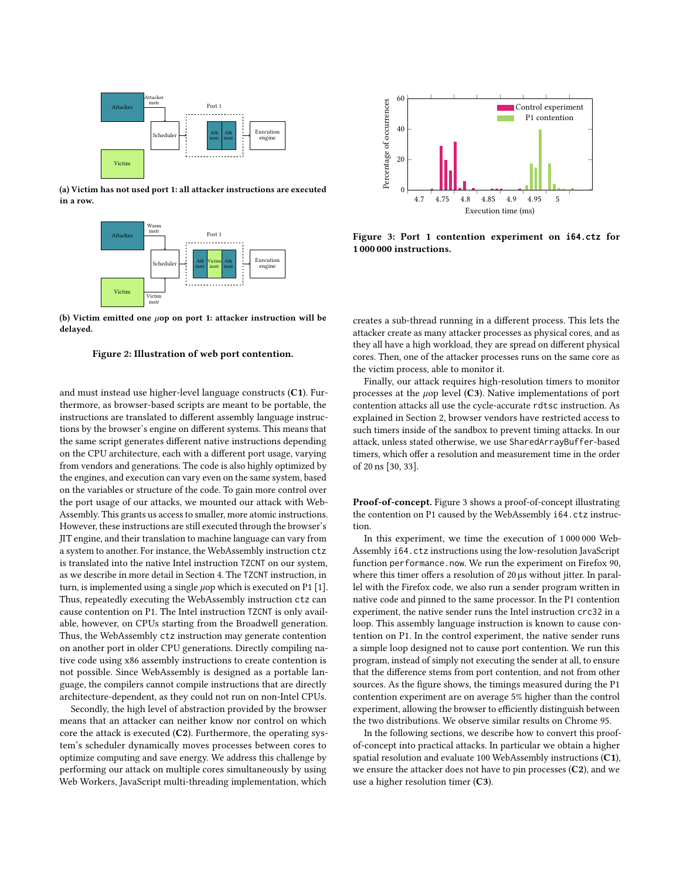<span id="page-4-1"></span>

(a) Victim has not used port 1: all attacker instructions are executed in a row.



(b) Victim emitted one  $\mu$ op on port 1: attacker instruction will be delayed.



and must instead use higher-level language constructs (C1). Furthermore, as browser-based scripts are meant to be portable, the instructions are translated to different assembly language instructions by the browser's engine on different systems. This means that the same script generates different native instructions depending on the CPU architecture, each with a different port usage, varying from vendors and generations. The code is also highly optimized by the engines, and execution can vary even on the same system, based on the variables or structure of the code. To gain more control over the port usage of our attacks, we mounted our attack with Web-Assembly. This grants us access to smaller, more atomic instructions. However, these instructions are still executed through the browser's JIT engine, and their translation to machine language can vary from a system to another. For instance, the WebAssembly instruction ctz is translated into the native Intel instruction TZCNT on our system, as we describe in more detail in Section [4.](#page-4-0) The TZCNT instruction, in turn, is implemented using a single  $\mu$ op which is executed on P1 [\[1\]](#page-11-26). Thus, repeatedly executing the WebAssembly instruction ctz can cause contention on P1. The Intel instruction TZCNT is only available, however, on CPUs starting from the Broadwell generation. Thus, the WebAssembly ctz instruction may generate contention on another port in older CPU generations. Directly compiling native code using x86 assembly instructions to create contention is not possible. Since WebAssembly is designed as a portable language, the compilers cannot compile instructions that are directly architecture-dependent, as they could not run on non-Intel CPUs.

Secondly, the high level of abstraction provided by the browser means that an attacker can neither know nor control on which core the attack is executed  $(C2)$ . Furthermore, the operating system's scheduler dynamically moves processes between cores to optimize computing and save energy. We address this challenge by performing our attack on multiple cores simultaneously by using Web Workers, JavaScript multi-threading implementation, which

<span id="page-4-2"></span>

Figure 3: Port 1 contention experiment on **i64.ctz** for 1 000 000 instructions.

creates a sub-thread running in a different process. This lets the attacker create as many attacker processes as physical cores, and as they all have a high workload, they are spread on different physical cores. Then, one of the attacker processes runs on the same core as the victim process, able to monitor it.

Finally, our attack requires high-resolution timers to monitor processes at the  $\mu$ op level (C3). Native implementations of port contention attacks all use the cycle-accurate rdtsc instruction. As explained in Section [2,](#page-1-3) browser vendors have restricted access to such timers inside of the sandbox to prevent timing attacks. In our attack, unless stated otherwise, we use SharedArrayBuffer-based timers, which offer a resolution and measurement time in the order of 20 ns [\[30,](#page-11-11) [33\]](#page-11-12).

Proof-of-concept. Figure [3](#page-4-2) shows a proof-of-concept illustrating the contention on P1 caused by the WebAssembly i64.ctz instruction.

In this experiment, we time the execution of 1 000 000 Web-Assembly i64.ctz instructions using the low-resolution JavaScript function performance.now. We run the experiment on Firefox 90, where this timer offers a resolution of 20 µs without jitter. In parallel with the Firefox code, we also run a sender program written in native code and pinned to the same processor. In the P1 contention experiment, the native sender runs the Intel instruction crc32 in a loop. This assembly language instruction is known to cause contention on P1. In the control experiment, the native sender runs a simple loop designed not to cause port contention. We run this program, instead of simply not executing the sender at all, to ensure that the difference stems from port contention, and not from other sources. As the figure shows, the timings measured during the P1 contention experiment are on average 5% higher than the control experiment, allowing the browser to efficiently distinguish between the two distributions. We observe similar results on Chrome 95.

<span id="page-4-0"></span>In the following sections, we describe how to convert this proofof-concept into practical attacks. In particular we obtain a higher spatial resolution and evaluate 100 WebAssembly instructions (C1), we ensure the attacker does not have to pin processes (C2), and we use a higher resolution timer (C3).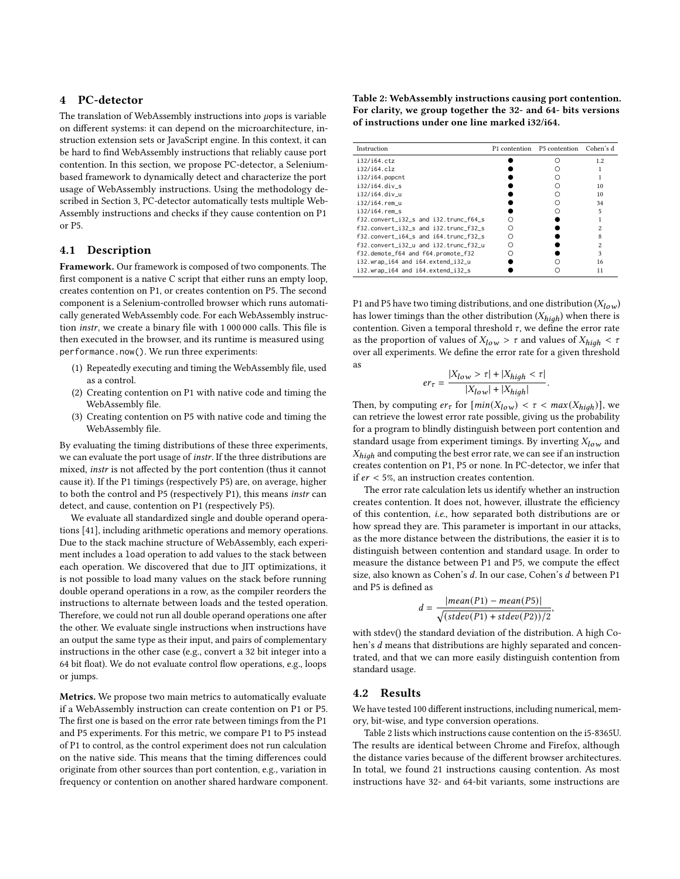#### 4 PC-detector

The translation of WebAssembly instructions into  $\mu$ ops is variable on different systems: it can depend on the microarchitecture, instruction extension sets or JavaScript engine. In this context, it can be hard to find WebAssembly instructions that reliably cause port contention. In this section, we propose PC-detector, a Seleniumbased framework to dynamically detect and characterize the port usage of WebAssembly instructions. Using the methodology described in Section [3,](#page-4-1) PC-detector automatically tests multiple Web-Assembly instructions and checks if they cause contention on P1 or P5.

#### 4.1 Description

Framework. Our framework is composed of two components. The first component is a native C script that either runs an empty loop, creates contention on P1, or creates contention on P5. The second component is a Selenium-controlled browser which runs automatically generated WebAssembly code. For each WebAssembly instruction instr, we create a binary file with 1 000 000 calls. This file is then executed in the browser, and its runtime is measured using performance.now(). We run three experiments:

- (1) Repeatedly executing and timing the WebAssembly file, used as a control.
- (2) Creating contention on P1 with native code and timing the WebAssembly file.
- (3) Creating contention on P5 with native code and timing the WebAssembly file.

By evaluating the timing distributions of these three experiments, we can evaluate the port usage of instr. If the three distributions are mixed, instr is not affected by the port contention (thus it cannot cause it). If the P1 timings (respectively P5) are, on average, higher to both the control and P5 (respectively P1), this means instr can detect, and cause, contention on P1 (respectively P5).

We evaluate all standardized single and double operand operations [\[41\]](#page-12-8), including arithmetic operations and memory operations. Due to the stack machine structure of WebAssembly, each experiment includes a load operation to add values to the stack between each operation. We discovered that due to JIT optimizations, it is not possible to load many values on the stack before running double operand operations in a row, as the compiler reorders the instructions to alternate between loads and the tested operation. Therefore, we could not run all double operand operations one after the other. We evaluate single instructions when instructions have an output the same type as their input, and pairs of complementary instructions in the other case (e.g., convert a 32 bit integer into a 64 bit float). We do not evaluate control flow operations, e.g., loops or jumps.

Metrics. We propose two main metrics to automatically evaluate if a WebAssembly instruction can create contention on P1 or P5. The first one is based on the error rate between timings from the P1 and P5 experiments. For this metric, we compare P1 to P5 instead of P1 to control, as the control experiment does not run calculation on the native side. This means that the timing differences could originate from other sources than port contention, e.g., variation in frequency or contention on another shared hardware component.

<span id="page-5-0"></span>Table 2: WebAssembly instructions causing port contention. For clarity, we group together the 32- and 64- bits versions of instructions under one line marked i32/i64.

| Instruction                           | P <sub>1</sub> contention | P5 contention | Cohen's d |
|---------------------------------------|---------------------------|---------------|-----------|
| i32/i64.ctz                           |                           |               | 1.2       |
| i32/i64.clz                           |                           |               |           |
| $i32/i64$ .popcnt                     |                           |               |           |
| $i32/i64$ .div s                      |                           |               | 10        |
| i32/i64.div u                         |                           |               | 10        |
| i32/i64.rem u                         |                           |               | 34        |
| $i32/i64$ .rem s                      |                           |               | 5         |
| f32.convert_i32_s and i32.trunc_f64_s |                           |               |           |
| f32.convert i32 s and i32.trunc f32 s |                           |               | 2         |
| f32.convert_i64_s and i64.trunc_f32_s |                           |               |           |
| f32.convert_i32_u and i32.trunc_f32_u |                           |               | 2         |
| f32.demote_f64 and f64.promote_f32    |                           |               | 3         |
| i32.wrap_i64 and i64.extend_i32_u     |                           |               | 16        |
| i32.wrap_i64 and i64.extend_i32_s     |                           |               | 11        |

P1 and P5 have two timing distributions, and one distribution  $(X_{low})$ has lower timings than the other distribution  $(X_{high})$  when there is contention. Given a temporal threshold  $\tau$ , we define the error rate as the proportion of values of  $X_{low} > \tau$  and values of  $X_{high} < \tau$ over all experiments. We define the error rate for a given threshold as

$$
er_{\tau} = \frac{|X_{low} > \tau| + |X_{high} < \tau|}{|X_{low}| + |X_{high}|}
$$

.

Then, by computing  $er_{\tau}$  for  $[min(X_{low}) < \tau < max(X_{high})]$ , we can retrieve the lowest error rate possible, giving us the probability for a program to blindly distinguish between port contention and standard usage from experiment timings. By inverting  $X_{low}$  and  $X_{\text{hi}ab}$  and computing the best error rate, we can see if an instruction creates contention on P1, P5 or none. In PC-detector, we infer that if  $er < 5\%$ , an instruction creates contention.

The error rate calculation lets us identify whether an instruction creates contention. It does not, however, illustrate the efficiency of this contention, i.e., how separated both distributions are or how spread they are. This parameter is important in our attacks, as the more distance between the distributions, the easier it is to distinguish between contention and standard usage. In order to measure the distance between P1 and P5, we compute the effect size, also known as Cohen's d. In our case, Cohen's d between P1 and P5 is defined as

$$
d = \frac{|mean(P1) - mean(P5)|}{\sqrt{(stdev(P1) + stdev(P2))/2}},
$$

with stdev() the standard deviation of the distribution. A high Cohen's  $d$  means that distributions are highly separated and concentrated, and that we can more easily distinguish contention from standard usage.

#### 4.2 Results

We have tested 100 different instructions, including numerical, memory, bit-wise, and type conversion operations.

Table [2](#page-5-0) lists which instructions cause contention on the i5-8365U. The results are identical between Chrome and Firefox, although the distance varies because of the different browser architectures. In total, we found 21 instructions causing contention. As most instructions have 32- and 64-bit variants, some instructions are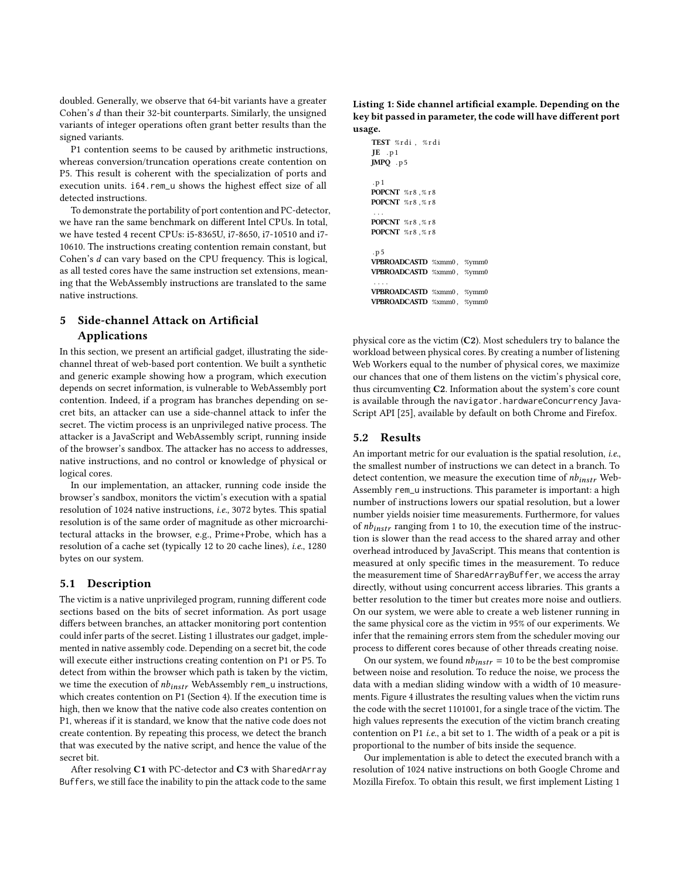doubled. Generally, we observe that 64-bit variants have a greater Cohen's  $d$  than their 32-bit counterparts. Similarly, the unsigned variants of integer operations often grant better results than the signed variants.

P1 contention seems to be caused by arithmetic instructions, whereas conversion/truncation operations create contention on P5. This result is coherent with the specialization of ports and execution units. i64.rem\_u shows the highest effect size of all detected instructions.

To demonstrate the portability of port contention and PC-detector, we have ran the same benchmark on different Intel CPUs. In total, we have tested 4 recent CPUs: i5-8365U, i7-8650, i7-10510 and i7- 10610. The instructions creating contention remain constant, but Cohen's  $d$  can vary based on the CPU frequency. This is logical, as all tested cores have the same instruction set extensions, meaning that the WebAssembly instructions are translated to the same native instructions.

# <span id="page-6-0"></span>5 Side-channel Attack on Artificial Applications

In this section, we present an artificial gadget, illustrating the sidechannel threat of web-based port contention. We built a synthetic and generic example showing how a program, which execution depends on secret information, is vulnerable to WebAssembly port contention. Indeed, if a program has branches depending on secret bits, an attacker can use a side-channel attack to infer the secret. The victim process is an unprivileged native process. The attacker is a JavaScript and WebAssembly script, running inside of the browser's sandbox. The attacker has no access to addresses, native instructions, and no control or knowledge of physical or logical cores.

In our implementation, an attacker, running code inside the browser's sandbox, monitors the victim's execution with a spatial resolution of 1024 native instructions, i.e., 3072 bytes. This spatial resolution is of the same order of magnitude as other microarchitectural attacks in the browser, e.g., Prime+Probe, which has a resolution of a cache set (typically 12 to 20 cache lines), i.e., 1280 bytes on our system.

#### 5.1 Description

The victim is a native unprivileged program, running different code sections based on the bits of secret information. As port usage differs between branches, an attacker monitoring port contention could infer parts of the secret. Listing [1](#page-6-1) illustrates our gadget, implemented in native assembly code. Depending on a secret bit, the code will execute either instructions creating contention on P1 or P5. To detect from within the browser which path is taken by the victim, we time the execution of  $nb_{instr}$  WebAssembly rem\_u instructions, which creates contention on P1 (Section [4\)](#page-4-0). If the execution time is high, then we know that the native code also creates contention on P1, whereas if it is standard, we know that the native code does not create contention. By repeating this process, we detect the branch that was executed by the native script, and hence the value of the secret bit.

After resolving C1 with PC-detector and C3 with SharedArray Buffers, we still face the inability to pin the attack code to the same <span id="page-6-1"></span>Listing 1: Side channel artificial example. Depending on the key bit passed in parameter, the code will have different port usage.

```
TEST % r di , % r d i
JE .p1
JMPQ . p 5
. p 1
POPCNT %r8 ,% r 8
POPCNT %r8,%r8
 . . .
POPCNT %r8,%r8
POPCNT %r8,%r8
. p 5
VPBROADCASTD %xmm0 , %ymm0
VPBROADCASTD %xmm0 , %ymm0
 . . . .
VPBROADCASTD %xmm0 , %ymm0
VPBROADCASTD %xmm0 , %ymm0
```
physical core as the victim (C2). Most schedulers try to balance the workload between physical cores. By creating a number of listening Web Workers equal to the number of physical cores, we maximize our chances that one of them listens on the victim's physical core, thus circumventing C2. Information about the system's core count is available through the navigator.hardwareConcurrency Java-Script API [\[25\]](#page-11-27), available by default on both Chrome and Firefox.

#### 5.2 Results

An important metric for our evaluation is the spatial resolution, i.e., the smallest number of instructions we can detect in a branch. To detect contention, we measure the execution time of  $nb_{instr}$  Web-Assembly rem\_u instructions. This parameter is important: a high number of instructions lowers our spatial resolution, but a lower number yields noisier time measurements. Furthermore, for values of  $n_{\text{th}}$  ranging from 1 to 10, the execution time of the instruction is slower than the read access to the shared array and other overhead introduced by JavaScript. This means that contention is measured at only specific times in the measurement. To reduce the measurement time of SharedArrayBuffer, we access the array directly, without using concurrent access libraries. This grants a better resolution to the timer but creates more noise and outliers. On our system, we were able to create a web listener running in the same physical core as the victim in 95% of our experiments. We infer that the remaining errors stem from the scheduler moving our process to different cores because of other threads creating noise.

On our system, we found  $nb_{instr} = 10$  to be the best compromise between noise and resolution. To reduce the noise, we process the data with a median sliding window with a width of 10 measurements. Figure [4](#page-7-1) illustrates the resulting values when the victim runs the code with the secret 1101001, for a single trace of the victim. The high values represents the execution of the victim branch creating contention on P1 i.e., a bit set to 1. The width of a peak or a pit is proportional to the number of bits inside the sequence.

Our implementation is able to detect the executed branch with a resolution of 1024 native instructions on both Google Chrome and Mozilla Firefox. To obtain this result, we first implement Listing [1](#page-6-1)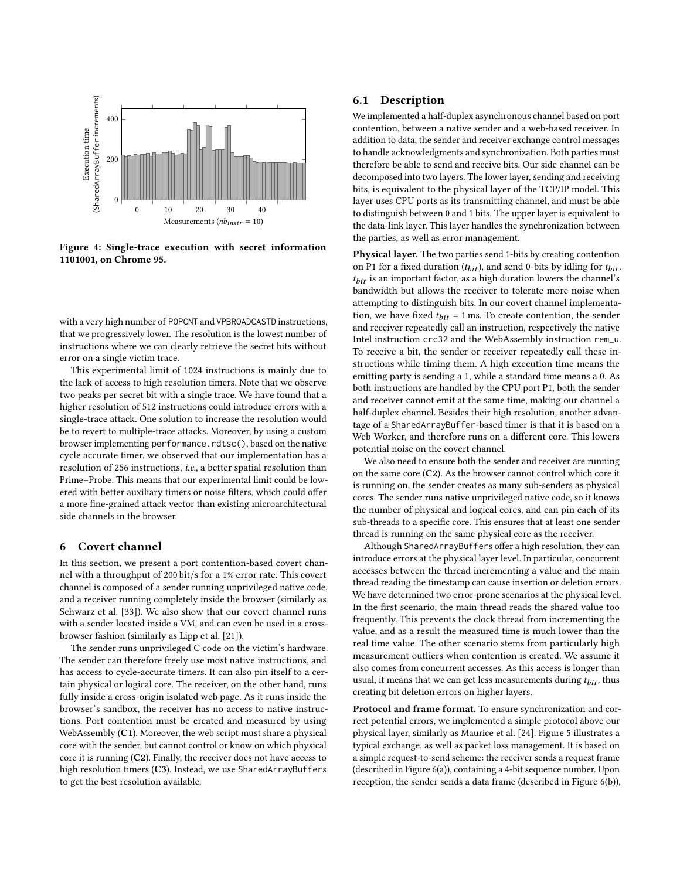<span id="page-7-1"></span>

Figure 4: Single-trace execution with secret information 1101001, on Chrome 95.

with a very high number of POPCNT and VPBROADCASTD instructions, that we progressively lower. The resolution is the lowest number of instructions where we can clearly retrieve the secret bits without error on a single victim trace.

This experimental limit of 1024 instructions is mainly due to the lack of access to high resolution timers. Note that we observe two peaks per secret bit with a single trace. We have found that a higher resolution of 512 instructions could introduce errors with a single-trace attack. One solution to increase the resolution would be to revert to multiple-trace attacks. Moreover, by using a custom browser implementing performance.rdtsc(), based on the native cycle accurate timer, we observed that our implementation has a resolution of 256 instructions, i.e., a better spatial resolution than Prime+Probe. This means that our experimental limit could be lowered with better auxiliary timers or noise filters, which could offer a more fine-grained attack vector than existing microarchitectural side channels in the browser.

#### <span id="page-7-0"></span>6 Covert channel

In this section, we present a port contention-based covert channel with a throughput of 200 bit/s for a 1% error rate. This covert channel is composed of a sender running unprivileged native code, and a receiver running completely inside the browser (similarly as Schwarz et al. [\[33\]](#page-11-12)). We also show that our covert channel runs with a sender located inside a VM, and can even be used in a crossbrowser fashion (similarly as Lipp et al. [\[21\]](#page-11-15)).

The sender runs unprivileged C code on the victim's hardware. The sender can therefore freely use most native instructions, and has access to cycle-accurate timers. It can also pin itself to a certain physical or logical core. The receiver, on the other hand, runs fully inside a cross-origin isolated web page. As it runs inside the browser's sandbox, the receiver has no access to native instructions. Port contention must be created and measured by using WebAssembly (C1). Moreover, the web script must share a physical core with the sender, but cannot control or know on which physical core it is running (C2). Finally, the receiver does not have access to high resolution timers (C3). Instead, we use SharedArrayBuffers to get the best resolution available.

#### 6.1 Description

We implemented a half-duplex asynchronous channel based on port contention, between a native sender and a web-based receiver. In addition to data, the sender and receiver exchange control messages to handle acknowledgments and synchronization. Both parties must therefore be able to send and receive bits. Our side channel can be decomposed into two layers. The lower layer, sending and receiving bits, is equivalent to the physical layer of the TCP/IP model. This layer uses CPU ports as its transmitting channel, and must be able to distinguish between 0 and 1 bits. The upper layer is equivalent to the data-link layer. This layer handles the synchronization between the parties, as well as error management.

Physical layer. The two parties send 1-bits by creating contention on P1 for a fixed duration  $(t_{bit})$ , and send 0-bits by idling for  $t_{bit}$ .  $t_{bit}$  is an important factor, as a high duration lowers the channel's bandwidth but allows the receiver to tolerate more noise when attempting to distinguish bits. In our covert channel implementation, we have fixed  $t_{bit} = 1$  ms. To create contention, the sender and receiver repeatedly call an instruction, respectively the native Intel instruction crc32 and the WebAssembly instruction rem\_u. To receive a bit, the sender or receiver repeatedly call these instructions while timing them. A high execution time means the emitting party is sending a 1, while a standard time means a 0. As both instructions are handled by the CPU port P1, both the sender and receiver cannot emit at the same time, making our channel a half-duplex channel. Besides their high resolution, another advantage of a SharedArrayBuffer-based timer is that it is based on a Web Worker, and therefore runs on a different core. This lowers potential noise on the covert channel.

We also need to ensure both the sender and receiver are running on the same core (C2). As the browser cannot control which core it is running on, the sender creates as many sub-senders as physical cores. The sender runs native unprivileged native code, so it knows the number of physical and logical cores, and can pin each of its sub-threads to a specific core. This ensures that at least one sender thread is running on the same physical core as the receiver.

Although SharedArrayBuffers offer a high resolution, they can introduce errors at the physical layer level. In particular, concurrent accesses between the thread incrementing a value and the main thread reading the timestamp can cause insertion or deletion errors. We have determined two error-prone scenarios at the physical level. In the first scenario, the main thread reads the shared value too frequently. This prevents the clock thread from incrementing the value, and as a result the measured time is much lower than the real time value. The other scenario stems from particularly high measurement outliers when contention is created. We assume it also comes from concurrent accesses. As this access is longer than usual, it means that we can get less measurements during  $t_{hit}$ , thus creating bit deletion errors on higher layers.

Protocol and frame format. To ensure synchronization and correct potential errors, we implemented a simple protocol above our physical layer, similarly as Maurice et al. [\[24\]](#page-11-1). Figure [5](#page-8-0) illustrates a typical exchange, as well as packet loss management. It is based on a simple request-to-send scheme: the receiver sends a request frame (described in Figure [6\(a\)\)](#page-8-1), containing a 4-bit sequence number. Upon reception, the sender sends a data frame (described in Figure [6\(b\)\)](#page-8-1),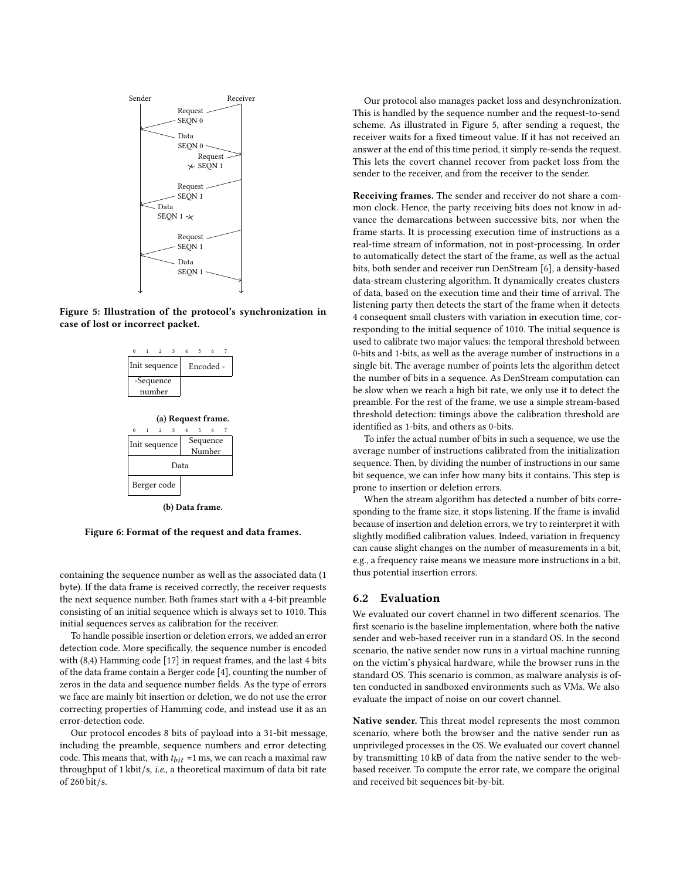<span id="page-8-0"></span>

<span id="page-8-1"></span>Figure 5: Illustration of the protocol's synchronization in case of lost or incorrect packet.



Figure 6: Format of the request and data frames.

containing the sequence number as well as the associated data (1 byte). If the data frame is received correctly, the receiver requests the next sequence number. Both frames start with a 4-bit preamble consisting of an initial sequence which is always set to 1010. This initial sequences serves as calibration for the receiver.

To handle possible insertion or deletion errors, we added an error detection code. More specifically, the sequence number is encoded with (8,4) Hamming code [\[17\]](#page-11-28) in request frames, and the last 4 bits of the data frame contain a Berger code [\[4\]](#page-11-29), counting the number of zeros in the data and sequence number fields. As the type of errors we face are mainly bit insertion or deletion, we do not use the error correcting properties of Hamming code, and instead use it as an error-detection code.

Our protocol encodes 8 bits of payload into a 31-bit message, including the preamble, sequence numbers and error detecting code. This means that, with  $t_{bit} = 1$  ms, we can reach a maximal raw throughput of 1 kbit/s, i.e., a theoretical maximum of data bit rate of 260 bit/s.

Our protocol also manages packet loss and desynchronization. This is handled by the sequence number and the request-to-send scheme. As illustrated in Figure [5,](#page-8-0) after sending a request, the receiver waits for a fixed timeout value. If it has not received an answer at the end of this time period, it simply re-sends the request. This lets the covert channel recover from packet loss from the sender to the receiver, and from the receiver to the sender.

Receiving frames. The sender and receiver do not share a common clock. Hence, the party receiving bits does not know in advance the demarcations between successive bits, nor when the frame starts. It is processing execution time of instructions as a real-time stream of information, not in post-processing. In order to automatically detect the start of the frame, as well as the actual bits, both sender and receiver run DenStream [\[6\]](#page-11-30), a density-based data-stream clustering algorithm. It dynamically creates clusters of data, based on the execution time and their time of arrival. The listening party then detects the start of the frame when it detects 4 consequent small clusters with variation in execution time, corresponding to the initial sequence of 1010. The initial sequence is used to calibrate two major values: the temporal threshold between 0-bits and 1-bits, as well as the average number of instructions in a single bit. The average number of points lets the algorithm detect the number of bits in a sequence. As DenStream computation can be slow when we reach a high bit rate, we only use it to detect the preamble. For the rest of the frame, we use a simple stream-based threshold detection: timings above the calibration threshold are identified as 1-bits, and others as 0-bits.

To infer the actual number of bits in such a sequence, we use the average number of instructions calibrated from the initialization sequence. Then, by dividing the number of instructions in our same bit sequence, we can infer how many bits it contains. This step is prone to insertion or deletion errors.

When the stream algorithm has detected a number of bits corresponding to the frame size, it stops listening. If the frame is invalid because of insertion and deletion errors, we try to reinterpret it with slightly modified calibration values. Indeed, variation in frequency can cause slight changes on the number of measurements in a bit, e.g., a frequency raise means we measure more instructions in a bit, thus potential insertion errors.

### 6.2 Evaluation

We evaluated our covert channel in two different scenarios. The first scenario is the baseline implementation, where both the native sender and web-based receiver run in a standard OS. In the second scenario, the native sender now runs in a virtual machine running on the victim's physical hardware, while the browser runs in the standard OS. This scenario is common, as malware analysis is often conducted in sandboxed environments such as VMs. We also evaluate the impact of noise on our covert channel.

Native sender. This threat model represents the most common scenario, where both the browser and the native sender run as unprivileged processes in the OS. We evaluated our covert channel by transmitting 10 kB of data from the native sender to the webbased receiver. To compute the error rate, we compare the original and received bit sequences bit-by-bit.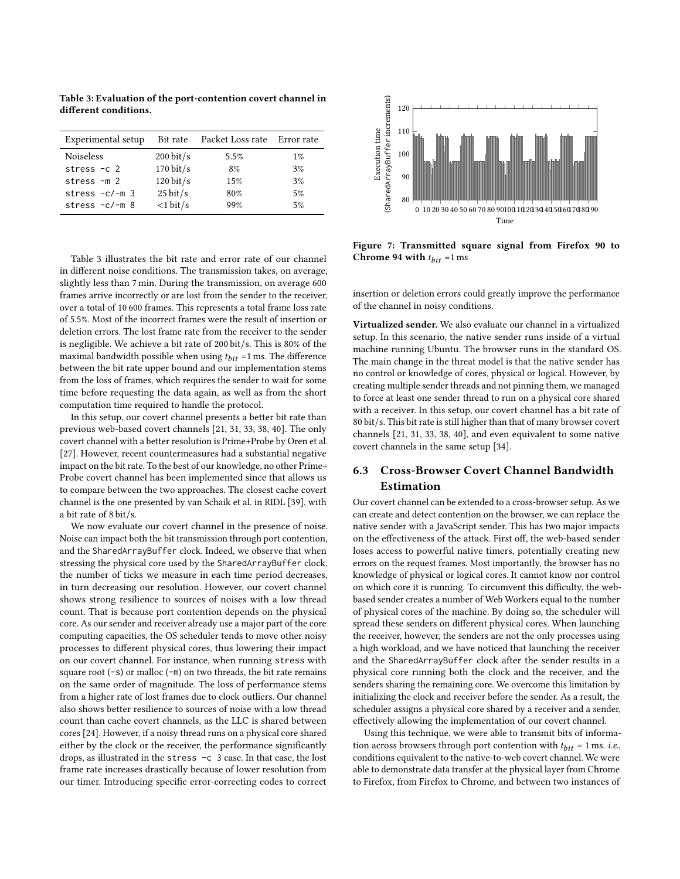<span id="page-9-0"></span>Table 3: Evaluation of the port-contention covert channel in different conditions.

| Experimental setup |                        | Bit rate Packet Loss rate Error rate |       |
|--------------------|------------------------|--------------------------------------|-------|
| <b>Noiseless</b>   | $200 \,\mathrm{bit/s}$ | 5.5%                                 | $1\%$ |
| stress $-c$ 2      | $170 \text{ bit/s}$    | 8%                                   | 3%    |
| stress $-m2$       | $120 \,\text{bit/s}$   | 15%                                  | 3%    |
| stress $-c/-m$ 3   | $25 \text{ bit/s}$     | 80%                                  | 5%    |
| stress $-c/-m$ 8   | $<$ 1 bit/s            | 99%                                  | 5%    |

Table [3](#page-9-0) illustrates the bit rate and error rate of our channel in different noise conditions. The transmission takes, on average, slightly less than 7 min. During the transmission, on average 600 frames arrive incorrectly or are lost from the sender to the receiver, over a total of 10 600 frames. This represents a total frame loss rate of 5.5%. Most of the incorrect frames were the result of insertion or deletion errors. The lost frame rate from the receiver to the sender is negligible. We achieve a bit rate of 200 bit/s. This is 80% of the maximal bandwidth possible when using  $t_{bit}$  =1 ms. The difference between the bit rate upper bound and our implementation stems from the loss of frames, which requires the sender to wait for some time before requesting the data again, as well as from the short computation time required to handle the protocol.

In this setup, our covert channel presents a better bit rate than previous web-based covert channels [\[21,](#page-11-15) [31,](#page-11-14) [33,](#page-11-12) [38,](#page-12-4) [40\]](#page-12-3). The only covert channel with a better resolution is Prime+Probe by Oren et al. [\[27\]](#page-11-2). However, recent countermeasures had a substantial negative impact on the bit rate. To the best of our knowledge, no other Prime+ Probe covert channel has been implemented since that allows us to compare between the two approaches. The closest cache covert channel is the one presented by van Schaik et al. in RIDL [\[39\]](#page-12-5), with a bit rate of 8 bit/s.

We now evaluate our covert channel in the presence of noise. Noise can impact both the bit transmission through port contention, and the SharedArrayBuffer clock. Indeed, we observe that when stressing the physical core used by the SharedArrayBuffer clock, the number of ticks we measure in each time period decreases, in turn decreasing our resolution. However, our covert channel shows strong resilience to sources of noises with a low thread count. That is because port contention depends on the physical core. As our sender and receiver already use a major part of the core computing capacities, the OS scheduler tends to move other noisy processes to different physical cores, thus lowering their impact on our covert channel. For instance, when running stress with square root  $(-s)$  or malloc  $(-m)$  on two threads, the bit rate remains on the same order of magnitude. The loss of performance stems from a higher rate of lost frames due to clock outliers. Our channel also shows better resilience to sources of noise with a low thread count than cache covert channels, as the LLC is shared between cores [\[24\]](#page-11-1). However, if a noisy thread runs on a physical core shared either by the clock or the receiver, the performance significantly drops, as illustrated in the stress -c 3 case. In that case, the lost frame rate increases drastically because of lower resolution from our timer. Introducing specific error-correcting codes to correct

<span id="page-9-1"></span>

Figure 7: Transmitted square signal from Firefox 90 to Chrome 94 with  $t_{hit}$  =1 ms

insertion or deletion errors could greatly improve the performance of the channel in noisy conditions.

Virtualized sender. We also evaluate our channel in a virtualized setup. In this scenario, the native sender runs inside of a virtual machine running Ubuntu. The browser runs in the standard OS. The main change in the threat model is that the native sender has no control or knowledge of cores, physical or logical. However, by creating multiple sender threads and not pinning them, we managed to force at least one sender thread to run on a physical core shared with a receiver. In this setup, our covert channel has a bit rate of 80 bit/s. This bit rate is still higher than that of many browser covert channels [\[21,](#page-11-15) [31,](#page-11-14) [33,](#page-11-12) [38,](#page-12-4) [40\]](#page-12-3), and even equivalent to some native covert channels in the same setup [\[34\]](#page-12-9).

# 6.3 Cross-Browser Covert Channel Bandwidth Estimation

Our covert channel can be extended to a cross-browser setup. As we can create and detect contention on the browser, we can replace the native sender with a JavaScript sender. This has two major impacts on the effectiveness of the attack. First off, the web-based sender loses access to powerful native timers, potentially creating new errors on the request frames. Most importantly, the browser has no knowledge of physical or logical cores. It cannot know nor control on which core it is running. To circumvent this difficulty, the webbased sender creates a number of Web Workers equal to the number of physical cores of the machine. By doing so, the scheduler will spread these senders on different physical cores. When launching the receiver, however, the senders are not the only processes using a high workload, and we have noticed that launching the receiver and the SharedArrayBuffer clock after the sender results in a physical core running both the clock and the receiver, and the senders sharing the remaining core. We overcome this limitation by initializing the clock and receiver before the sender. As a result, the scheduler assigns a physical core shared by a receiver and a sender, effectively allowing the implementation of our covert channel.

Using this technique, we were able to transmit bits of information across browsers through port contention with  $t_{bit} = 1$  ms. i.e., conditions equivalent to the native-to-web covert channel. We were able to demonstrate data transfer at the physical layer from Chrome to Firefox, from Firefox to Chrome, and between two instances of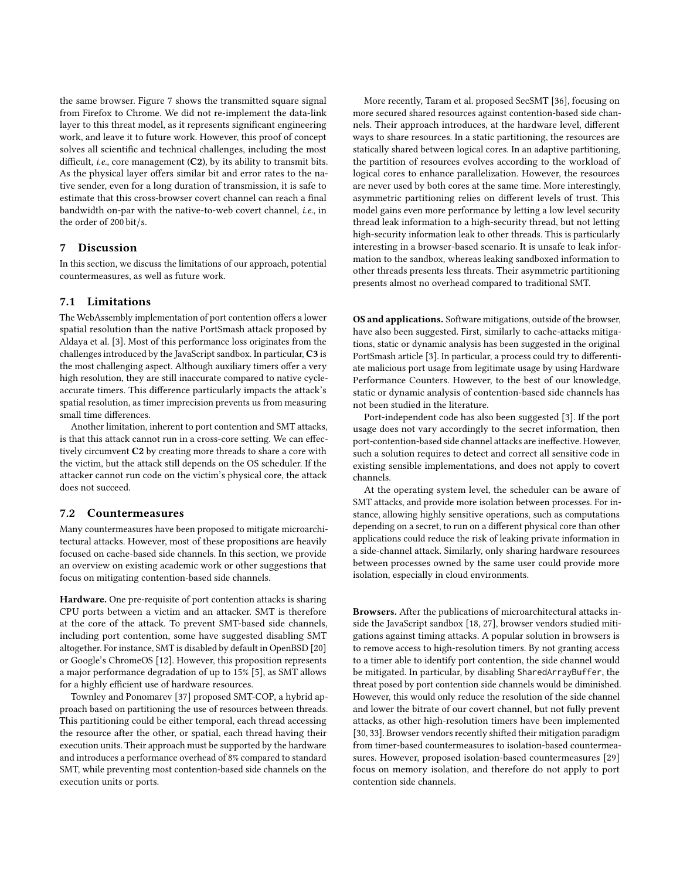the same browser. Figure [7](#page-9-1) shows the transmitted square signal from Firefox to Chrome. We did not re-implement the data-link layer to this threat model, as it represents significant engineering work, and leave it to future work. However, this proof of concept solves all scientific and technical challenges, including the most difficult, *i.e.*, core management (C2), by its ability to transmit bits. As the physical layer offers similar bit and error rates to the native sender, even for a long duration of transmission, it is safe to estimate that this cross-browser covert channel can reach a final bandwidth on-par with the native-to-web covert channel, i.e., in the order of 200 bit/s.

#### 7 Discussion

In this section, we discuss the limitations of our approach, potential countermeasures, as well as future work.

#### 7.1 Limitations

The WebAssembly implementation of port contention offers a lower spatial resolution than the native PortSmash attack proposed by Aldaya et al. [\[3\]](#page-11-3). Most of this performance loss originates from the challenges introduced by the JavaScript sandbox. In particular, C3 is the most challenging aspect. Although auxiliary timers offer a very high resolution, they are still inaccurate compared to native cycleaccurate timers. This difference particularly impacts the attack's spatial resolution, as timer imprecision prevents us from measuring small time differences.

Another limitation, inherent to port contention and SMT attacks, is that this attack cannot run in a cross-core setting. We can effectively circumvent C2 by creating more threads to share a core with the victim, but the attack still depends on the OS scheduler. If the attacker cannot run code on the victim's physical core, the attack does not succeed.

#### 7.2 Countermeasures

Many countermeasures have been proposed to mitigate microarchitectural attacks. However, most of these propositions are heavily focused on cache-based side channels. In this section, we provide an overview on existing academic work or other suggestions that focus on mitigating contention-based side channels.

Hardware. One pre-requisite of port contention attacks is sharing CPU ports between a victim and an attacker. SMT is therefore at the core of the attack. To prevent SMT-based side channels, including port contention, some have suggested disabling SMT altogether. For instance, SMT is disabled by default in OpenBSD [\[20\]](#page-11-31) or Google's ChromeOS [\[12\]](#page-11-32). However, this proposition represents a major performance degradation of up to 15% [\[5\]](#page-11-17), as SMT allows for a highly efficient use of hardware resources.

Townley and Ponomarev [\[37\]](#page-12-10) proposed SMT-COP, a hybrid approach based on partitioning the use of resources between threads. This partitioning could be either temporal, each thread accessing the resource after the other, or spatial, each thread having their execution units. Their approach must be supported by the hardware and introduces a performance overhead of 8% compared to standard SMT, while preventing most contention-based side channels on the execution units or ports.

More recently, Taram et al. proposed SecSMT [\[36\]](#page-12-11), focusing on more secured shared resources against contention-based side channels. Their approach introduces, at the hardware level, different ways to share resources. In a static partitioning, the resources are statically shared between logical cores. In an adaptive partitioning, the partition of resources evolves according to the workload of logical cores to enhance parallelization. However, the resources are never used by both cores at the same time. More interestingly, asymmetric partitioning relies on different levels of trust. This model gains even more performance by letting a low level security thread leak information to a high-security thread, but not letting high-security information leak to other threads. This is particularly interesting in a browser-based scenario. It is unsafe to leak information to the sandbox, whereas leaking sandboxed information to other threads presents less threats. Their asymmetric partitioning presents almost no overhead compared to traditional SMT.

OS and applications. Software mitigations, outside of the browser, have also been suggested. First, similarly to cache-attacks mitigations, static or dynamic analysis has been suggested in the original PortSmash article [\[3\]](#page-11-3). In particular, a process could try to differentiate malicious port usage from legitimate usage by using Hardware Performance Counters. However, to the best of our knowledge, static or dynamic analysis of contention-based side channels has not been studied in the literature.

Port-independent code has also been suggested [\[3\]](#page-11-3). If the port usage does not vary accordingly to the secret information, then port-contention-based side channel attacks are ineffective. However, such a solution requires to detect and correct all sensitive code in existing sensible implementations, and does not apply to covert channels.

At the operating system level, the scheduler can be aware of SMT attacks, and provide more isolation between processes. For instance, allowing highly sensitive operations, such as computations depending on a secret, to run on a different physical core than other applications could reduce the risk of leaking private information in a side-channel attack. Similarly, only sharing hardware resources between processes owned by the same user could provide more isolation, especially in cloud environments.

Browsers. After the publications of microarchitectural attacks inside the JavaScript sandbox [\[18,](#page-11-10) [27\]](#page-11-2), browser vendors studied mitigations against timing attacks. A popular solution in browsers is to remove access to high-resolution timers. By not granting access to a timer able to identify port contention, the side channel would be mitigated. In particular, by disabling SharedArrayBuffer, the threat posed by port contention side channels would be diminished. However, this would only reduce the resolution of the side channel and lower the bitrate of our covert channel, but not fully prevent attacks, as other high-resolution timers have been implemented [\[30,](#page-11-11) [33\]](#page-11-12). Browser vendors recently shifted their mitigation paradigm from timer-based countermeasures to isolation-based countermeasures. However, proposed isolation-based countermeasures [\[29\]](#page-11-13) focus on memory isolation, and therefore do not apply to port contention side channels.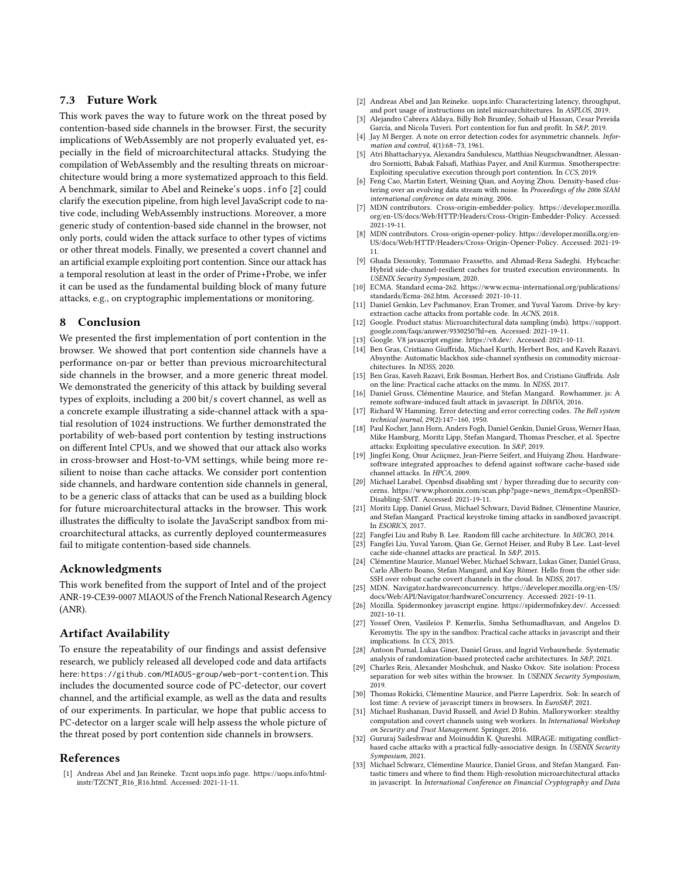# 7.3 Future Work

This work paves the way to future work on the threat posed by contention-based side channels in the browser. First, the security implications of WebAssembly are not properly evaluated yet, especially in the field of microarchitectural attacks. Studying the compilation of WebAssembly and the resulting threats on microarchitecture would bring a more systematized approach to this field. A benchmark, similar to Abel and Reineke's uops.info [\[2\]](#page-11-16) could clarify the execution pipeline, from high level JavaScript code to native code, including WebAssembly instructions. Moreover, a more generic study of contention-based side channel in the browser, not only ports, could widen the attack surface to other types of victims or other threat models. Finally, we presented a covert channel and an artificial example exploiting port contention. Since our attack has a temporal resolution at least in the order of Prime+Probe, we infer it can be used as the fundamental building block of many future attacks, e.g., on cryptographic implementations or monitoring.

#### 8 Conclusion

We presented the first implementation of port contention in the browser. We showed that port contention side channels have a performance on-par or better than previous microarchitectural side channels in the browser, and a more generic threat model. We demonstrated the genericity of this attack by building several types of exploits, including a 200 bit/s covert channel, as well as a concrete example illustrating a side-channel attack with a spatial resolution of 1024 instructions. We further demonstrated the portability of web-based port contention by testing instructions on different Intel CPUs, and we showed that our attack also works in cross-browser and Host-to-VM settings, while being more resilient to noise than cache attacks. We consider port contention side channels, and hardware contention side channels in general, to be a generic class of attacks that can be used as a building block for future microarchitectural attacks in the browser. This work illustrates the difficulty to isolate the JavaScript sandbox from microarchitectural attacks, as currently deployed countermeasures fail to mitigate contention-based side channels.

#### Acknowledgments

This work benefited from the support of Intel and of the project ANR-19-CE39-0007 MIAOUS of the French National Research Agency (ANR).

#### Artifact Availability

To ensure the repeatability of our findings and assist defensive research, we publicly released all developed code and data artifacts here: <https://github.com/MIAOUS-group/web-port-contention>. This includes the documented source code of PC-detector, our covert channel, and the artificial example, as well as the data and results of our experiments. In particular, we hope that public access to PC-detector on a larger scale will help assess the whole picture of the threat posed by port contention side channels in browsers.

#### References

<span id="page-11-26"></span>[1] Andreas Abel and Jan Reineke. Tzcnt uops.info page. [https://uops.info/html](https://uops.info/html-instr/TZCNT_R16_R16.html)[instr/TZCNT\\_R16\\_R16.html.](https://uops.info/html-instr/TZCNT_R16_R16.html) Accessed: 2021-11-11.

- <span id="page-11-16"></span>[2] Andreas Abel and Jan Reineke. uops.info: Characterizing latency, throughput, and port usage of instructions on intel microarchitectures. In ASPLOS, 2019.
- <span id="page-11-3"></span>[3] Alejandro Cabrera Aldaya, Billy Bob Brumley, Sohaib ul Hassan, Cesar Pereida García, and Nicola Tuveri. Port contention for fun and profit. In S&P, 2019.
- <span id="page-11-29"></span>[4] Jay M Berger. A note on error detection codes for asymmetric channels. Information and control, 4(1):68–73, 1961.
- <span id="page-11-17"></span>[5] Atri Bhattacharyya, Alexandra Sandulescu, Matthias Neugschwandtner, Alessandro Sorniotti, Babak Falsafi, Mathias Payer, and Anil Kurmus. Smotherspectre: Exploiting speculative execution through port contention. In CCS, 2019.
- <span id="page-11-30"></span>[6] Feng Cao, Martin Estert, Weining Qian, and Aoying Zhou. Density-based clustering over an evolving data stream with noise. In Proceedings of the 2006 SIAM international conference on data mining, 2006.
- <span id="page-11-22"></span>MDN contributors. Cross-origin-embedder-policy. [https://developer.mozilla.](https://developer.mozilla.org/en-US/docs/Web/HTTP/Headers/Cross-Origin-Embedder-Policy) [org/en-US/docs/Web/HTTP/Headers/Cross-Origin-Embedder-Policy.](https://developer.mozilla.org/en-US/docs/Web/HTTP/Headers/Cross-Origin-Embedder-Policy) Accessed: 2021-19-11.
- <span id="page-11-23"></span>[8] MDN contributors. Cross-origin-opener-policy. [https://developer.mozilla.org/en-](https://developer.mozilla.org/en-US/docs/Web/HTTP/Headers/Cross-Origin-Opener-Policy)[US/docs/Web/HTTP/Headers/Cross-Origin-Opener-Policy.](https://developer.mozilla.org/en-US/docs/Web/HTTP/Headers/Cross-Origin-Opener-Policy) Accessed: 2021-19- 11.
- <span id="page-11-4"></span>[9] Ghada Dessouky, Tommaso Frassetto, and Ahmad-Reza Sadeghi. Hybcache: Hybrid side-channel-resilient caches for trusted execution environments. In USENIX Security Symposium, 2020.
- <span id="page-11-19"></span>[10] ECMA. Standard ecma-262. [https://www.ecma-international.org/publications/](https://www.ecma-international.org/publications/standards/Ecma-262.htm) [standards/Ecma-262.htm.](https://www.ecma-international.org/publications/standards/Ecma-262.htm) Accessed: 2021-10-11.
- <span id="page-11-24"></span>[11] Daniel Genkin, Lev Pachmanov, Eran Tromer, and Yuval Yarom. Drive-by keyextraction cache attacks from portable code. In ACNS, 2018.
- <span id="page-11-32"></span>[12] Google. Product status: Microarchitectural data sampling (mds). [https://support.](https://support.google.com/faqs/answer/9330250?hl=en) [google.com/faqs/answer/9330250?hl=en.](https://support.google.com/faqs/answer/9330250?hl=en) Accessed: 2021-19-11.
- <span id="page-11-20"></span>[13] Google. V8 javascript engine. [https://v8.dev/.](https://v8.dev/) Accessed: 2021-10-11.
- <span id="page-11-18"></span>Ben Gras, Cristiano Giuffrida, Michael Kurth, Herbert Bos, and Kaveh Razavi. Absynthe: Automatic blackbox side-channel synthesis on commodity microarchitectures. In NDSS, 2020.
- <span id="page-11-9"></span>[15] Ben Gras, Kaveh Razavi, Erik Bosman, Herbert Bos, and Cristiano Giuffrida. Aslr on the line: Practical cache attacks on the mmu. In NDSS, 2017.
- <span id="page-11-25"></span>[16] Daniel Gruss, Clémentine Maurice, and Stefan Mangard. Rowhammer. js: A remote software-induced fault attack in javascript. In DIMVA, 2016.
- <span id="page-11-28"></span>[17] Richard W Hamming. Error detecting and error correcting codes. The Bell system technical journal, 29(2):147–160, 1950.
- <span id="page-11-10"></span>[18] Paul Kocher, Jann Horn, Anders Fogh, Daniel Genkin, Daniel Gruss, Werner Haas, Mike Hamburg, Moritz Lipp, Stefan Mangard, Thomas Prescher, et al. Spectre attacks: Exploiting speculative execution. In S&P, 2019.
- <span id="page-11-5"></span>[19] Jingfei Kong, Onur Aciiçmez, Jean-Pierre Seifert, and Huiyang Zhou. Hardwaresoftware integrated approaches to defend against software cache-based side channel attacks. In HPCA, 2009.
- <span id="page-11-31"></span>[20] Michael Larabel. Openbsd disabling smt / hyper threading due to security concerns. [https://www.phoronix.com/scan.php?page=news\\_item&px=OpenBSD-](https://www.phoronix.com/scan.php?page=news_item&px=OpenBSD-Disabling-SMT)[Disabling-SMT.](https://www.phoronix.com/scan.php?page=news_item&px=OpenBSD-Disabling-SMT) Accessed: 2021-19-11.
- <span id="page-11-15"></span>[21] Moritz Lipp, Daniel Gruss, Michael Schwarz, David Bidner, Clémentine Maurice, and Stefan Mangard. Practical keystroke timing attacks in sandboxed javascript. In ESORICS, 2017.
- <span id="page-11-6"></span>[22] Fangfei Liu and Ruby B. Lee. Random fill cache architecture. In MICRO, 2014.
- <span id="page-11-0"></span>Fangfei Liu, Yuval Yarom, Qian Ge, Gernot Heiser, and Ruby B Lee. Last-level cache side-channel attacks are practical. In S&P, 2015.
- <span id="page-11-1"></span>[24] Clémentine Maurice, Manuel Weber, Michael Schwarz, Lukas Giner, Daniel Gruss, Carlo Alberto Boano, Stefan Mangard, and Kay Römer. Hello from the other side: SSH over robust cache covert channels in the cloud. In NDSS, 2017.
- <span id="page-11-27"></span>[25] MDN. Navigator.hardwareconcurrency. [https://developer.mozilla.org/en-US/](https://developer.mozilla.org/en-US/docs/Web/API/Navigator/hardwareConcurrency) [docs/Web/API/Navigator/hardwareConcurrency.](https://developer.mozilla.org/en-US/docs/Web/API/Navigator/hardwareConcurrency) Accessed: 2021-19-11.
- <span id="page-11-21"></span>[26] Mozilla. Spidermonkey javascript engine. [https://spidermofnkey.dev/.](https://spidermofnkey.dev/) Accessed:  $2021 - 10 - 11$
- <span id="page-11-2"></span>[27] Yossef Oren, Vasileios P. Kemerlis, Simha Sethumadhavan, and Angelos D. Keromytis. The spy in the sandbox: Practical cache attacks in javascript and their implications. In CCS, 2015.
- <span id="page-11-7"></span>[28] Antoon Purnal, Lukas Giner, Daniel Gruss, and Ingrid Verbauwhede. Systematic analysis of randomization-based protected cache architectures. In S&P, 2021.
- <span id="page-11-13"></span>[29] Charles Reis, Alexander Moshchuk, and Nasko Oskov. Site isolation: Process separation for web sites within the browser. In USENIX Security Symposium, 2019.
- <span id="page-11-11"></span>[30] Thomas Rokicki, Clémentine Maurice, and Pierre Laperdrix. Sok: In search of lost time: A review of javascript timers in browsers. In EuroS&P, 2021.
- <span id="page-11-14"></span>[31] Michael Rushanan, David Russell, and Aviel D Rubin. Malloryworker: stealthy computation and covert channels using web workers. In International Workshop on Security and Trust Management. Springer, 2016.
- <span id="page-11-8"></span>[32] Gururaj Saileshwar and Moinuddin K. Qureshi. MIRAGE: mitigating conflictbased cache attacks with a practical fully-associative design. In USENIX Security Symposium, 2021.
- <span id="page-11-12"></span>[33] Michael Schwarz, Clémentine Maurice, Daniel Gruss, and Stefan Mangard. Fantastic timers and where to find them: High-resolution microarchitectural attacks in javascript. In International Conference on Financial Cryptography and Data